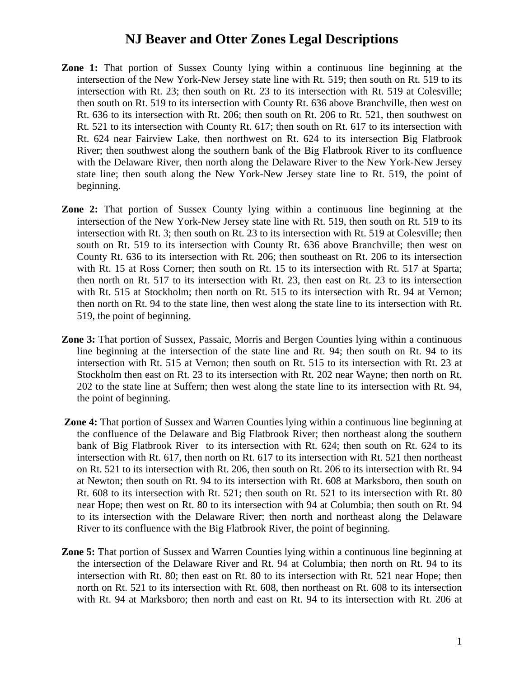- **Zone 1:** That portion of Sussex County lying within a continuous line beginning at the intersection of the New York-New Jersey state line with Rt. 519; then south on Rt. 519 to its intersection with Rt. 23; then south on Rt. 23 to its intersection with Rt. 519 at Colesville; then south on Rt. 519 to its intersection with County Rt. 636 above Branchville, then west on Rt. 636 to its intersection with Rt. 206; then south on Rt. 206 to Rt. 521, then southwest on Rt. 521 to its intersection with County Rt. 617; then south on Rt. 617 to its intersection with Rt. 624 near Fairview Lake, then northwest on Rt. 624 to its intersection Big Flatbrook River; then southwest along the southern bank of the Big Flatbrook River to its confluence with the Delaware River, then north along the Delaware River to the New York-New Jersey state line; then south along the New York-New Jersey state line to Rt. 519, the point of beginning.
- **Zone 2:** That portion of Sussex County lying within a continuous line beginning at the intersection of the New York-New Jersey state line with Rt. 519, then south on Rt. 519 to its intersection with Rt. 3; then south on Rt. 23 to its intersection with Rt. 519 at Colesville; then south on Rt. 519 to its intersection with County Rt. 636 above Branchville; then west on County Rt. 636 to its intersection with Rt. 206; then southeast on Rt. 206 to its intersection with Rt. 15 at Ross Corner; then south on Rt. 15 to its intersection with Rt. 517 at Sparta; then north on Rt. 517 to its intersection with Rt. 23, then east on Rt. 23 to its intersection with Rt. 515 at Stockholm; then north on Rt. 515 to its intersection with Rt. 94 at Vernon; then north on Rt. 94 to the state line, then west along the state line to its intersection with Rt. 519, the point of beginning.
- **Zone 3:** That portion of Sussex, Passaic, Morris and Bergen Counties lying within a continuous line beginning at the intersection of the state line and Rt. 94; then south on Rt. 94 to its intersection with Rt. 515 at Vernon; then south on Rt. 515 to its intersection with Rt. 23 at Stockholm then east on Rt. 23 to its intersection with Rt. 202 near Wayne; then north on Rt. 202 to the state line at Suffern; then west along the state line to its intersection with Rt. 94, the point of beginning.
- **Zone 4:** That portion of Sussex and Warren Counties lying within a continuous line beginning at the confluence of the Delaware and Big Flatbrook River; then northeast along the southern bank of Big Flatbrook River to its intersection with Rt. 624; then south on Rt. 624 to its intersection with Rt. 617, then north on Rt. 617 to its intersection with Rt. 521 then northeast on Rt. 521 to its intersection with Rt. 206, then south on Rt. 206 to its intersection with Rt. 94 at Newton; then south on Rt. 94 to its intersection with Rt. 608 at Marksboro, then south on Rt. 608 to its intersection with Rt. 521; then south on Rt. 521 to its intersection with Rt. 80 near Hope; then west on Rt. 80 to its intersection with 94 at Columbia; then south on Rt. 94 to its intersection with the Delaware River; then north and northeast along the Delaware River to its confluence with the Big Flatbrook River, the point of beginning.
- **Zone 5:** That portion of Sussex and Warren Counties lying within a continuous line beginning at the intersection of the Delaware River and Rt. 94 at Columbia; then north on Rt. 94 to its intersection with Rt. 80; then east on Rt. 80 to its intersection with Rt. 521 near Hope; then north on Rt. 521 to its intersection with Rt. 608, then northeast on Rt. 608 to its intersection with Rt. 94 at Marksboro; then north and east on Rt. 94 to its intersection with Rt. 206 at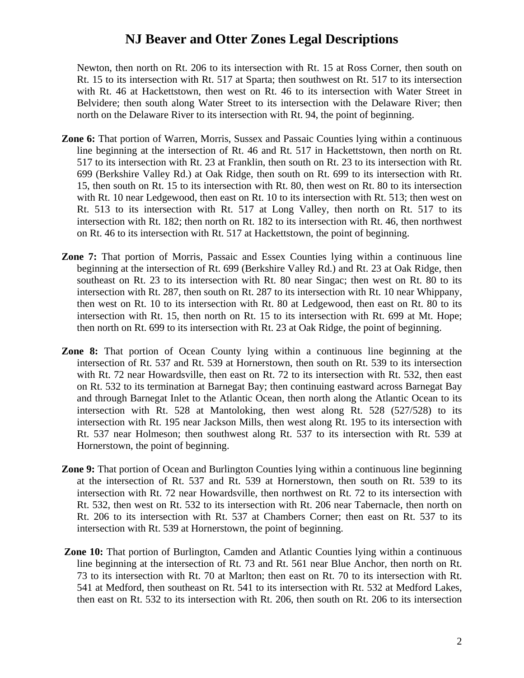Newton, then north on Rt. 206 to its intersection with Rt. 15 at Ross Corner, then south on Rt. 15 to its intersection with Rt. 517 at Sparta; then southwest on Rt. 517 to its intersection with Rt. 46 at Hackettstown, then west on Rt. 46 to its intersection with Water Street in Belvidere; then south along Water Street to its intersection with the Delaware River; then north on the Delaware River to its intersection with Rt. 94, the point of beginning.

- **Zone 6:** That portion of Warren, Morris, Sussex and Passaic Counties lying within a continuous line beginning at the intersection of Rt. 46 and Rt. 517 in Hackettstown, then north on Rt. 517 to its intersection with Rt. 23 at Franklin, then south on Rt. 23 to its intersection with Rt. 699 (Berkshire Valley Rd.) at Oak Ridge, then south on Rt. 699 to its intersection with Rt. 15, then south on Rt. 15 to its intersection with Rt. 80, then west on Rt. 80 to its intersection with Rt. 10 near Ledgewood, then east on Rt. 10 to its intersection with Rt. 513; then west on Rt. 513 to its intersection with Rt. 517 at Long Valley, then north on Rt. 517 to its intersection with Rt. 182; then north on Rt. 182 to its intersection with Rt. 46, then northwest on Rt. 46 to its intersection with Rt. 517 at Hackettstown, the point of beginning.
- **Zone 7:** That portion of Morris, Passaic and Essex Counties lying within a continuous line beginning at the intersection of Rt. 699 (Berkshire Valley Rd.) and Rt. 23 at Oak Ridge, then southeast on Rt. 23 to its intersection with Rt. 80 near Singac; then west on Rt. 80 to its intersection with Rt. 287, then south on Rt. 287 to its intersection with Rt. 10 near Whippany, then west on Rt. 10 to its intersection with Rt. 80 at Ledgewood, then east on Rt. 80 to its intersection with Rt. 15, then north on Rt. 15 to its intersection with Rt. 699 at Mt. Hope; then north on Rt. 699 to its intersection with Rt. 23 at Oak Ridge, the point of beginning.
- **Zone 8:** That portion of Ocean County lying within a continuous line beginning at the intersection of Rt. 537 and Rt. 539 at Hornerstown, then south on Rt. 539 to its intersection with Rt. 72 near Howardsville, then east on Rt. 72 to its intersection with Rt. 532, then east on Rt. 532 to its termination at Barnegat Bay; then continuing eastward across Barnegat Bay and through Barnegat Inlet to the Atlantic Ocean, then north along the Atlantic Ocean to its intersection with Rt. 528 at Mantoloking, then west along Rt. 528 (527/528) to its intersection with Rt. 195 near Jackson Mills, then west along Rt. 195 to its intersection with Rt. 537 near Holmeson; then southwest along Rt. 537 to its intersection with Rt. 539 at Hornerstown, the point of beginning.
- **Zone 9:** That portion of Ocean and Burlington Counties lying within a continuous line beginning at the intersection of Rt. 537 and Rt. 539 at Hornerstown, then south on Rt. 539 to its intersection with Rt. 72 near Howardsville, then northwest on Rt. 72 to its intersection with Rt. 532, then west on Rt. 532 to its intersection with Rt. 206 near Tabernacle, then north on Rt. 206 to its intersection with Rt. 537 at Chambers Corner; then east on Rt. 537 to its intersection with Rt. 539 at Hornerstown, the point of beginning.
- **Zone 10:** That portion of Burlington, Camden and Atlantic Counties lying within a continuous line beginning at the intersection of Rt. 73 and Rt. 561 near Blue Anchor, then north on Rt. 73 to its intersection with Rt. 70 at Marlton; then east on Rt. 70 to its intersection with Rt. 541 at Medford, then southeast on Rt. 541 to its intersection with Rt. 532 at Medford Lakes, then east on Rt. 532 to its intersection with Rt. 206, then south on Rt. 206 to its intersection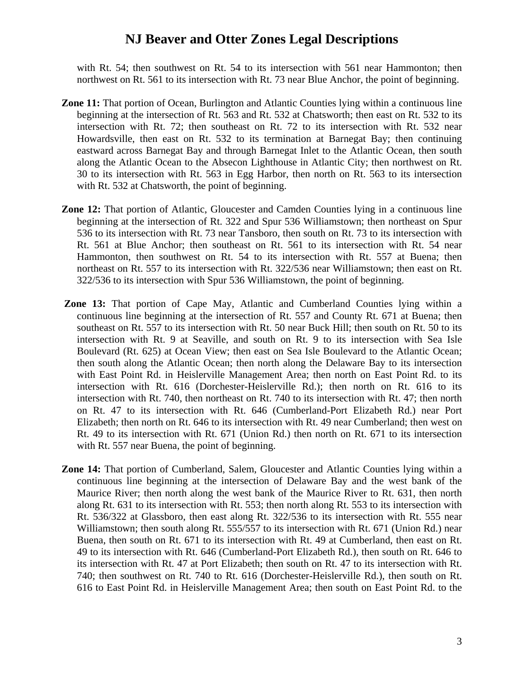with Rt. 54; then southwest on Rt. 54 to its intersection with 561 near Hammonton; then northwest on Rt. 561 to its intersection with Rt. 73 near Blue Anchor, the point of beginning.

- **Zone 11:** That portion of Ocean, Burlington and Atlantic Counties lying within a continuous line beginning at the intersection of Rt. 563 and Rt. 532 at Chatsworth; then east on Rt. 532 to its intersection with Rt. 72; then southeast on Rt. 72 to its intersection with Rt. 532 near Howardsville, then east on Rt. 532 to its termination at Barnegat Bay; then continuing eastward across Barnegat Bay and through Barnegat Inlet to the Atlantic Ocean, then south along the Atlantic Ocean to the Absecon Lighthouse in Atlantic City; then northwest on Rt. 30 to its intersection with Rt. 563 in Egg Harbor, then north on Rt. 563 to its intersection with Rt. 532 at Chatsworth, the point of beginning.
- **Zone 12:** That portion of Atlantic, Gloucester and Camden Counties lying in a continuous line beginning at the intersection of Rt. 322 and Spur 536 Williamstown; then northeast on Spur 536 to its intersection with Rt. 73 near Tansboro, then south on Rt. 73 to its intersection with Rt. 561 at Blue Anchor; then southeast on Rt. 561 to its intersection with Rt. 54 near Hammonton, then southwest on Rt. 54 to its intersection with Rt. 557 at Buena; then northeast on Rt. 557 to its intersection with Rt. 322/536 near Williamstown; then east on Rt. 322/536 to its intersection with Spur 536 Williamstown, the point of beginning.
- **Zone 13:** That portion of Cape May, Atlantic and Cumberland Counties lying within a continuous line beginning at the intersection of Rt. 557 and County Rt. 671 at Buena; then southeast on Rt. 557 to its intersection with Rt. 50 near Buck Hill; then south on Rt. 50 to its intersection with Rt. 9 at Seaville, and south on Rt. 9 to its intersection with Sea Isle Boulevard (Rt. 625) at Ocean View; then east on Sea Isle Boulevard to the Atlantic Ocean; then south along the Atlantic Ocean; then north along the Delaware Bay to its intersection with East Point Rd. in Heislerville Management Area; then north on East Point Rd. to its intersection with Rt. 616 (Dorchester-Heislerville Rd.); then north on Rt. 616 to its intersection with Rt. 740, then northeast on Rt. 740 to its intersection with Rt. 47; then north on Rt. 47 to its intersection with Rt. 646 (Cumberland-Port Elizabeth Rd.) near Port Elizabeth; then north on Rt. 646 to its intersection with Rt. 49 near Cumberland; then west on Rt. 49 to its intersection with Rt. 671 (Union Rd.) then north on Rt. 671 to its intersection with Rt. 557 near Buena, the point of beginning.
- **Zone 14:** That portion of Cumberland, Salem, Gloucester and Atlantic Counties lying within a continuous line beginning at the intersection of Delaware Bay and the west bank of the Maurice River; then north along the west bank of the Maurice River to Rt. 631, then north along Rt. 631 to its intersection with Rt. 553; then north along Rt. 553 to its intersection with Rt. 536/322 at Glassboro, then east along Rt. 322/536 to its intersection with Rt. 555 near Williamstown; then south along Rt. 555/557 to its intersection with Rt. 671 (Union Rd.) near Buena, then south on Rt. 671 to its intersection with Rt. 49 at Cumberland, then east on Rt. 49 to its intersection with Rt. 646 (Cumberland-Port Elizabeth Rd.), then south on Rt. 646 to its intersection with Rt. 47 at Port Elizabeth; then south on Rt. 47 to its intersection with Rt. 740; then southwest on Rt. 740 to Rt. 616 (Dorchester-Heislerville Rd.), then south on Rt. 616 to East Point Rd. in Heislerville Management Area; then south on East Point Rd. to the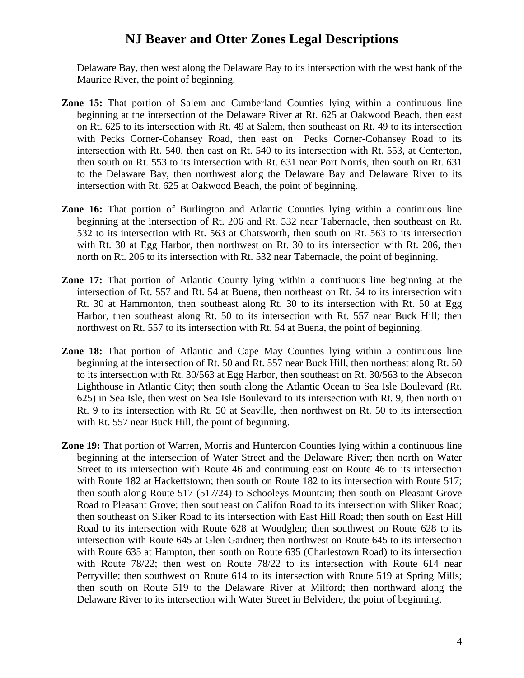Delaware Bay, then west along the Delaware Bay to its intersection with the west bank of the Maurice River, the point of beginning.

- **Zone 15:** That portion of Salem and Cumberland Counties lying within a continuous line beginning at the intersection of the Delaware River at Rt. 625 at Oakwood Beach, then east on Rt. 625 to its intersection with Rt. 49 at Salem, then southeast on Rt. 49 to its intersection with Pecks Corner-Cohansey Road, then east on Pecks Corner-Cohansey Road to its intersection with Rt. 540, then east on Rt. 540 to its intersection with Rt. 553, at Centerton, then south on Rt. 553 to its intersection with Rt. 631 near Port Norris, then south on Rt. 631 to the Delaware Bay, then northwest along the Delaware Bay and Delaware River to its intersection with Rt. 625 at Oakwood Beach, the point of beginning.
- **Zone 16:** That portion of Burlington and Atlantic Counties lying within a continuous line beginning at the intersection of Rt. 206 and Rt. 532 near Tabernacle, then southeast on Rt. 532 to its intersection with Rt. 563 at Chatsworth, then south on Rt. 563 to its intersection with Rt. 30 at Egg Harbor, then northwest on Rt. 30 to its intersection with Rt. 206, then north on Rt. 206 to its intersection with Rt. 532 near Tabernacle, the point of beginning.
- **Zone 17:** That portion of Atlantic County lying within a continuous line beginning at the intersection of Rt. 557 and Rt. 54 at Buena, then northeast on Rt. 54 to its intersection with Rt. 30 at Hammonton, then southeast along Rt. 30 to its intersection with Rt. 50 at Egg Harbor, then southeast along Rt. 50 to its intersection with Rt. 557 near Buck Hill; then northwest on Rt. 557 to its intersection with Rt. 54 at Buena, the point of beginning.
- **Zone 18:** That portion of Atlantic and Cape May Counties lying within a continuous line beginning at the intersection of Rt. 50 and Rt. 557 near Buck Hill, then northeast along Rt. 50 to its intersection with Rt. 30/563 at Egg Harbor, then southeast on Rt. 30/563 to the Absecon Lighthouse in Atlantic City; then south along the Atlantic Ocean to Sea Isle Boulevard (Rt. 625) in Sea Isle, then west on Sea Isle Boulevard to its intersection with Rt. 9, then north on Rt. 9 to its intersection with Rt. 50 at Seaville, then northwest on Rt. 50 to its intersection with Rt. 557 near Buck Hill, the point of beginning.
- **Zone 19:** That portion of Warren, Morris and Hunterdon Counties lying within a continuous line beginning at the intersection of Water Street and the Delaware River; then north on Water Street to its intersection with Route 46 and continuing east on Route 46 to its intersection with Route 182 at Hackettstown; then south on Route 182 to its intersection with Route 517; then south along Route 517 (517/24) to Schooleys Mountain; then south on Pleasant Grove Road to Pleasant Grove; then southeast on Califon Road to its intersection with Sliker Road; then southeast on Sliker Road to its intersection with East Hill Road; then south on East Hill Road to its intersection with Route 628 at Woodglen; then southwest on Route 628 to its intersection with Route 645 at Glen Gardner; then northwest on Route 645 to its intersection with Route 635 at Hampton, then south on Route 635 (Charlestown Road) to its intersection with Route 78/22; then west on Route 78/22 to its intersection with Route 614 near Perryville; then southwest on Route 614 to its intersection with Route 519 at Spring Mills; then south on Route 519 to the Delaware River at Milford; then northward along the Delaware River to its intersection with Water Street in Belvidere, the point of beginning.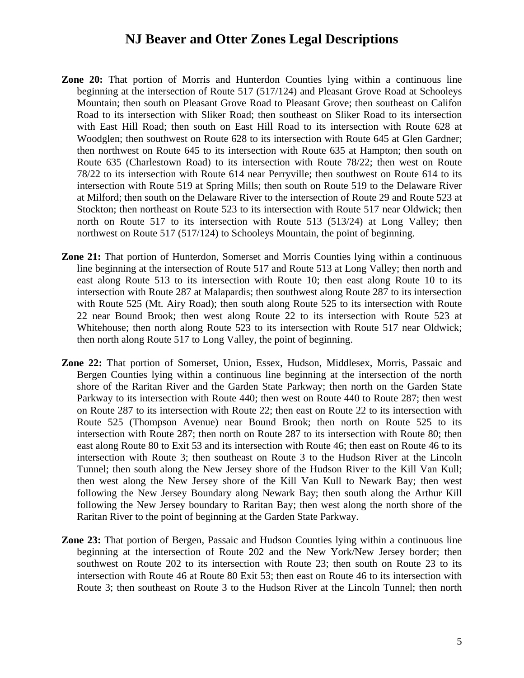- **Zone 20:** That portion of Morris and Hunterdon Counties lying within a continuous line beginning at the intersection of Route 517 (517/124) and Pleasant Grove Road at Schooleys Mountain; then south on Pleasant Grove Road to Pleasant Grove; then southeast on Califon Road to its intersection with Sliker Road; then southeast on Sliker Road to its intersection with East Hill Road; then south on East Hill Road to its intersection with Route 628 at Woodglen; then southwest on Route 628 to its intersection with Route 645 at Glen Gardner; then northwest on Route 645 to its intersection with Route 635 at Hampton; then south on Route 635 (Charlestown Road) to its intersection with Route 78/22; then west on Route 78/22 to its intersection with Route 614 near Perryville; then southwest on Route 614 to its intersection with Route 519 at Spring Mills; then south on Route 519 to the Delaware River at Milford; then south on the Delaware River to the intersection of Route 29 and Route 523 at Stockton; then northeast on Route 523 to its intersection with Route 517 near Oldwick; then north on Route 517 to its intersection with Route 513 (513/24) at Long Valley; then northwest on Route 517 (517/124) to Schooleys Mountain, the point of beginning.
- **Zone 21:** That portion of Hunterdon, Somerset and Morris Counties lying within a continuous line beginning at the intersection of Route 517 and Route 513 at Long Valley; then north and east along Route 513 to its intersection with Route 10; then east along Route 10 to its intersection with Route 287 at Malapardis; then southwest along Route 287 to its intersection with Route 525 (Mt. Airy Road); then south along Route 525 to its intersection with Route 22 near Bound Brook; then west along Route 22 to its intersection with Route 523 at Whitehouse; then north along Route 523 to its intersection with Route 517 near Oldwick; then north along Route 517 to Long Valley, the point of beginning.
- **Zone 22:** That portion of Somerset, Union, Essex, Hudson, Middlesex, Morris, Passaic and Bergen Counties lying within a continuous line beginning at the intersection of the north shore of the Raritan River and the Garden State Parkway; then north on the Garden State Parkway to its intersection with Route 440; then west on Route 440 to Route 287; then west on Route 287 to its intersection with Route 22; then east on Route 22 to its intersection with Route 525 (Thompson Avenue) near Bound Brook; then north on Route 525 to its intersection with Route 287; then north on Route 287 to its intersection with Route 80; then east along Route 80 to Exit 53 and its intersection with Route 46; then east on Route 46 to its intersection with Route 3; then southeast on Route 3 to the Hudson River at the Lincoln Tunnel; then south along the New Jersey shore of the Hudson River to the Kill Van Kull; then west along the New Jersey shore of the Kill Van Kull to Newark Bay; then west following the New Jersey Boundary along Newark Bay; then south along the Arthur Kill following the New Jersey boundary to Raritan Bay; then west along the north shore of the Raritan River to the point of beginning at the Garden State Parkway.
- **Zone 23:** That portion of Bergen, Passaic and Hudson Counties lying within a continuous line beginning at the intersection of Route 202 and the New York/New Jersey border; then southwest on Route 202 to its intersection with Route 23; then south on Route 23 to its intersection with Route 46 at Route 80 Exit 53; then east on Route 46 to its intersection with Route 3; then southeast on Route 3 to the Hudson River at the Lincoln Tunnel; then north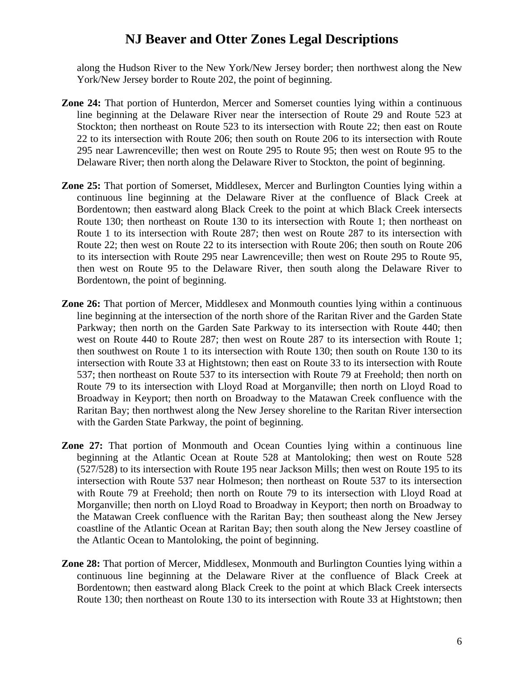along the Hudson River to the New York/New Jersey border; then northwest along the New York/New Jersey border to Route 202, the point of beginning.

- **Zone 24:** That portion of Hunterdon, Mercer and Somerset counties lying within a continuous line beginning at the Delaware River near the intersection of Route 29 and Route 523 at Stockton; then northeast on Route 523 to its intersection with Route 22; then east on Route 22 to its intersection with Route 206; then south on Route 206 to its intersection with Route 295 near Lawrenceville; then west on Route 295 to Route 95; then west on Route 95 to the Delaware River; then north along the Delaware River to Stockton, the point of beginning.
- **Zone 25:** That portion of Somerset, Middlesex, Mercer and Burlington Counties lying within a continuous line beginning at the Delaware River at the confluence of Black Creek at Bordentown; then eastward along Black Creek to the point at which Black Creek intersects Route 130; then northeast on Route 130 to its intersection with Route 1; then northeast on Route 1 to its intersection with Route 287; then west on Route 287 to its intersection with Route 22; then west on Route 22 to its intersection with Route 206; then south on Route 206 to its intersection with Route 295 near Lawrenceville; then west on Route 295 to Route 95, then west on Route 95 to the Delaware River, then south along the Delaware River to Bordentown, the point of beginning.
- **Zone 26:** That portion of Mercer, Middlesex and Monmouth counties lying within a continuous line beginning at the intersection of the north shore of the Raritan River and the Garden State Parkway; then north on the Garden Sate Parkway to its intersection with Route 440; then west on Route 440 to Route 287; then west on Route 287 to its intersection with Route 1; then southwest on Route 1 to its intersection with Route 130; then south on Route 130 to its intersection with Route 33 at Hightstown; then east on Route 33 to its intersection with Route 537; then northeast on Route 537 to its intersection with Route 79 at Freehold; then north on Route 79 to its intersection with Lloyd Road at Morganville; then north on Lloyd Road to Broadway in Keyport; then north on Broadway to the Matawan Creek confluence with the Raritan Bay; then northwest along the New Jersey shoreline to the Raritan River intersection with the Garden State Parkway, the point of beginning.
- **Zone 27:** That portion of Monmouth and Ocean Counties lying within a continuous line beginning at the Atlantic Ocean at Route 528 at Mantoloking; then west on Route 528 (527/528) to its intersection with Route 195 near Jackson Mills; then west on Route 195 to its intersection with Route 537 near Holmeson; then northeast on Route 537 to its intersection with Route 79 at Freehold; then north on Route 79 to its intersection with Lloyd Road at Morganville; then north on Lloyd Road to Broadway in Keyport; then north on Broadway to the Matawan Creek confluence with the Raritan Bay; then southeast along the New Jersey coastline of the Atlantic Ocean at Raritan Bay; then south along the New Jersey coastline of the Atlantic Ocean to Mantoloking, the point of beginning.
- **Zone 28:** That portion of Mercer, Middlesex, Monmouth and Burlington Counties lying within a continuous line beginning at the Delaware River at the confluence of Black Creek at Bordentown; then eastward along Black Creek to the point at which Black Creek intersects Route 130; then northeast on Route 130 to its intersection with Route 33 at Hightstown; then